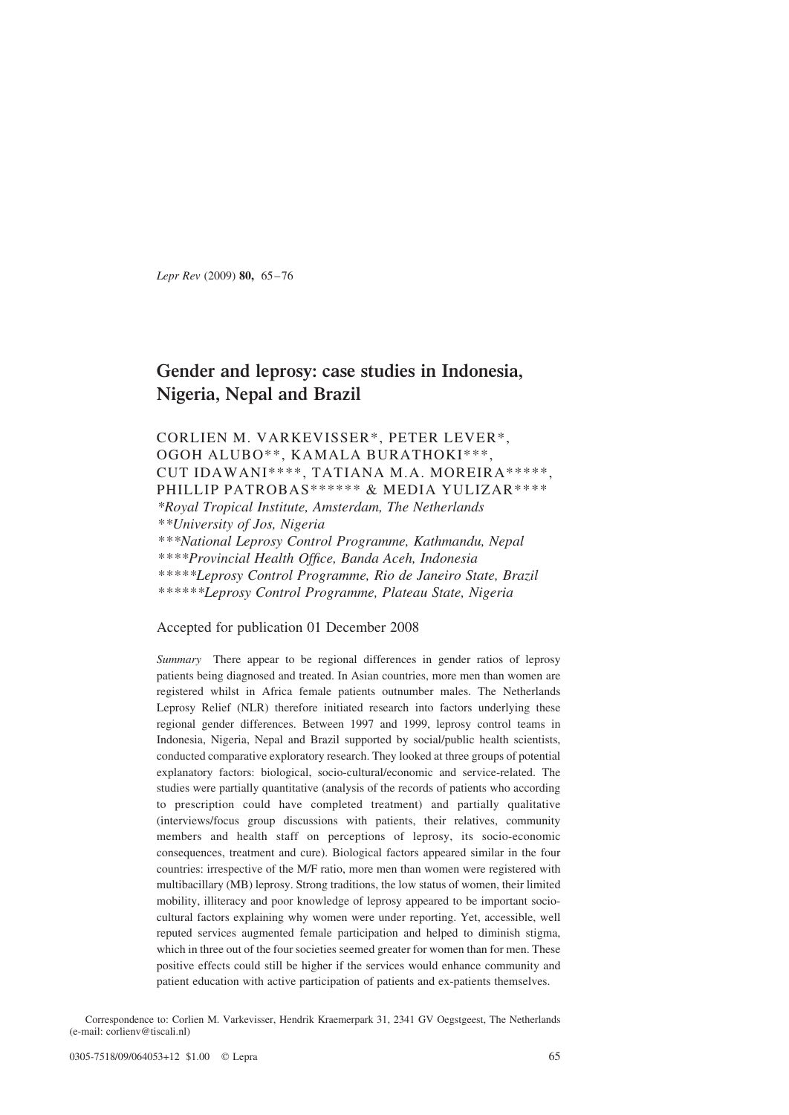Lepr Rev (2009) 80, 65–76

# Gender and leprosy: case studies in Indonesia, Nigeria, Nepal and Brazil

# CORLIEN M. VARKEVISSER\*, PETER LEVER\*, OGOH ALUBO\*\*, KAMALA BURATHOKI\*\*\*, CUT IDAWANI\*\*\*\*, TATIANA M.A. MOREIRA\*\*\*\*\*, PHILLIP PATROBAS\*\*\*\*\*\* & MEDIA YULIZAR\*\*\*\* \*Royal Tropical Institute, Amsterdam, The Netherlands

\*\*University of Jos, Nigeria \*\*\*National Leprosy Control Programme, Kathmandu, Nepal \*\*\*\*Provincial Health Office, Banda Aceh, Indonesia \*\*\*\*\*Leprosy Control Programme, Rio de Janeiro State, Brazil \*\*\*\*\*\*Leprosy Control Programme, Plateau State, Nigeria

# Accepted for publication 01 December 2008

Summary There appear to be regional differences in gender ratios of leprosy patients being diagnosed and treated. In Asian countries, more men than women are registered whilst in Africa female patients outnumber males. The Netherlands Leprosy Relief (NLR) therefore initiated research into factors underlying these regional gender differences. Between 1997 and 1999, leprosy control teams in Indonesia, Nigeria, Nepal and Brazil supported by social/public health scientists, conducted comparative exploratory research. They looked at three groups of potential explanatory factors: biological, socio-cultural/economic and service-related. The studies were partially quantitative (analysis of the records of patients who according to prescription could have completed treatment) and partially qualitative (interviews/focus group discussions with patients, their relatives, community members and health staff on perceptions of leprosy, its socio-economic consequences, treatment and cure). Biological factors appeared similar in the four countries: irrespective of the M/F ratio, more men than women were registered with multibacillary (MB) leprosy. Strong traditions, the low status of women, their limited mobility, illiteracy and poor knowledge of leprosy appeared to be important sociocultural factors explaining why women were under reporting. Yet, accessible, well reputed services augmented female participation and helped to diminish stigma, which in three out of the four societies seemed greater for women than for men. These positive effects could still be higher if the services would enhance community and patient education with active participation of patients and ex-patients themselves.

Correspondence to: Corlien M. Varkevisser, Hendrik Kraemerpark 31, 2341 GV Oegstgeest, The Netherlands (e-mail: corlienv@tiscali.nl)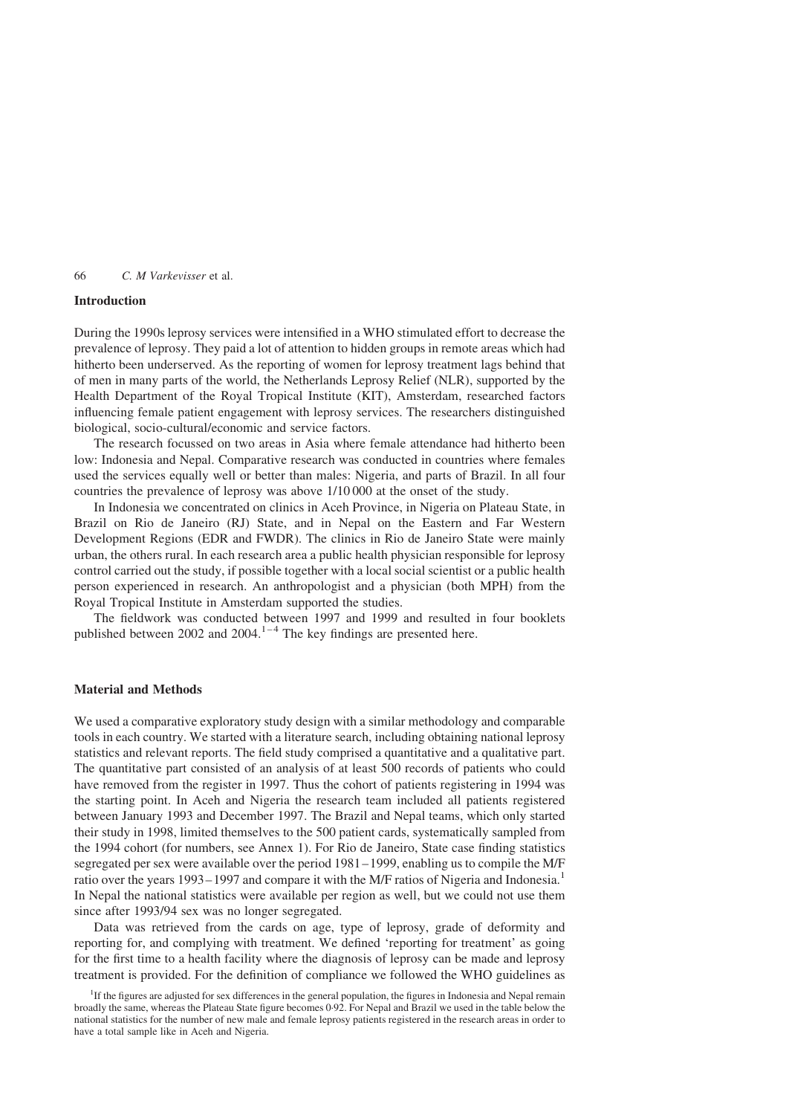#### Introduction

During the 1990s leprosy services were intensified in a WHO stimulated effort to decrease the prevalence of leprosy. They paid a lot of attention to hidden groups in remote areas which had hitherto been underserved. As the reporting of women for leprosy treatment lags behind that of men in many parts of the world, the Netherlands Leprosy Relief (NLR), supported by the Health Department of the Royal Tropical Institute (KIT), Amsterdam, researched factors influencing female patient engagement with leprosy services. The researchers distinguished biological, socio-cultural/economic and service factors.

The research focussed on two areas in Asia where female attendance had hitherto been low: Indonesia and Nepal. Comparative research was conducted in countries where females used the services equally well or better than males: Nigeria, and parts of Brazil. In all four countries the prevalence of leprosy was above 1/10 000 at the onset of the study.

In Indonesia we concentrated on clinics in Aceh Province, in Nigeria on Plateau State, in Brazil on Rio de Janeiro (RJ) State, and in Nepal on the Eastern and Far Western Development Regions (EDR and FWDR). The clinics in Rio de Janeiro State were mainly urban, the others rural. In each research area a public health physician responsible for leprosy control carried out the study, if possible together with a local social scientist or a public health person experienced in research. An anthropologist and a physician (both MPH) from the Royal Tropical Institute in Amsterdam supported the studies.

The fieldwork was conducted between 1997 and 1999 and resulted in four booklets published between 2002 and 2004. $1-4$  The key findings are presented here.

# Material and Methods

We used a comparative exploratory study design with a similar methodology and comparable tools in each country. We started with a literature search, including obtaining national leprosy statistics and relevant reports. The field study comprised a quantitative and a qualitative part. The quantitative part consisted of an analysis of at least 500 records of patients who could have removed from the register in 1997. Thus the cohort of patients registering in 1994 was the starting point. In Aceh and Nigeria the research team included all patients registered between January 1993 and December 1997. The Brazil and Nepal teams, which only started their study in 1998, limited themselves to the 500 patient cards, systematically sampled from the 1994 cohort (for numbers, see Annex 1). For Rio de Janeiro, State case finding statistics segregated per sex were available over the period 1981–1999, enabling us to compile the M/F ratio over the years 1993–1997 and compare it with the M/F ratios of Nigeria and Indonesia.<sup>1</sup> In Nepal the national statistics were available per region as well, but we could not use them since after 1993/94 sex was no longer segregated.

Data was retrieved from the cards on age, type of leprosy, grade of deformity and reporting for, and complying with treatment. We defined 'reporting for treatment' as going for the first time to a health facility where the diagnosis of leprosy can be made and leprosy treatment is provided. For the definition of compliance we followed the WHO guidelines as

<sup>&</sup>lt;sup>1</sup>If the figures are adjusted for sex differences in the general population, the figures in Indonesia and Nepal remain broadly the same, whereas the Plateau State figure becomes 0·92. For Nepal and Brazil we used in the table below the national statistics for the number of new male and female leprosy patients registered in the research areas in order to have a total sample like in Aceh and Nigeria.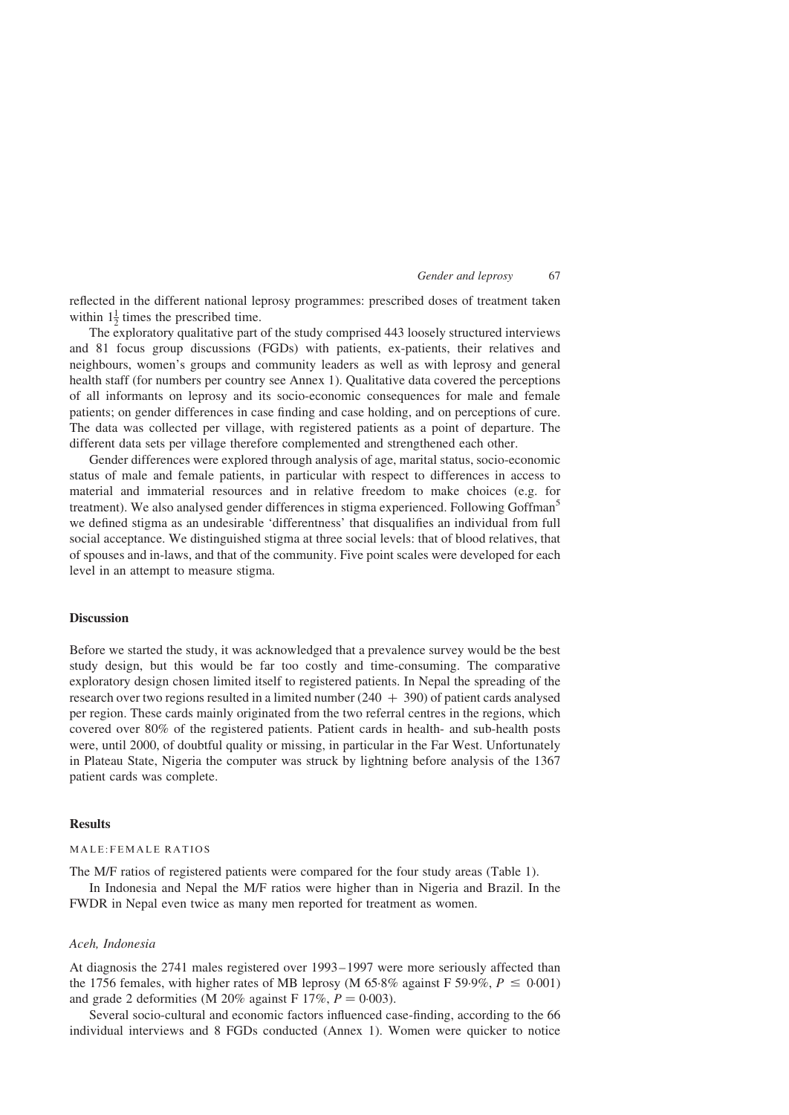reflected in the different national leprosy programmes: prescribed doses of treatment taken within  $1\frac{1}{2}$  times the prescribed time.

The exploratory qualitative part of the study comprised 443 loosely structured interviews and 81 focus group discussions (FGDs) with patients, ex-patients, their relatives and neighbours, women's groups and community leaders as well as with leprosy and general health staff (for numbers per country see Annex 1). Qualitative data covered the perceptions of all informants on leprosy and its socio-economic consequences for male and female patients; on gender differences in case finding and case holding, and on perceptions of cure. The data was collected per village, with registered patients as a point of departure. The different data sets per village therefore complemented and strengthened each other.

Gender differences were explored through analysis of age, marital status, socio-economic status of male and female patients, in particular with respect to differences in access to material and immaterial resources and in relative freedom to make choices (e.g. for treatment). We also analysed gender differences in stigma experienced. Following Goffman<sup>[5](#page-10-0)</sup> we defined stigma as an undesirable 'differentness' that disqualifies an individual from full social acceptance. We distinguished stigma at three social levels: that of blood relatives, that of spouses and in-laws, and that of the community. Five point scales were developed for each level in an attempt to measure stigma.

# **Discussion**

Before we started the study, it was acknowledged that a prevalence survey would be the best study design, but this would be far too costly and time-consuming. The comparative exploratory design chosen limited itself to registered patients. In Nepal the spreading of the research over two regions resulted in a limited number  $(240 + 390)$  of patient cards analysed per region. These cards mainly originated from the two referral centres in the regions, which covered over 80% of the registered patients. Patient cards in health- and sub-health posts were, until 2000, of doubtful quality or missing, in particular in the Far West. Unfortunately in Plateau State, Nigeria the computer was struck by lightning before analysis of the 1367 patient cards was complete.

# Results

# MALE:FEMALE RATIOS

The M/F ratios of registered patients were compared for the four study areas [\(Table 1](#page-3-0)).

In Indonesia and Nepal the M/F ratios were higher than in Nigeria and Brazil. In the FWDR in Nepal even twice as many men reported for treatment as women.

# Aceh, Indonesia

At diagnosis the 2741 males registered over 1993–1997 were more seriously affected than the 1756 females, with higher rates of MB leprosy (M 65.8% against F 59.9%,  $P \le 0.001$ ) and grade 2 deformities (M 20% against F 17%,  $P = 0.003$ ).

Several socio-cultural and economic factors influenced case-finding, according to the 66 individual interviews and 8 FGDs conducted (Annex 1). Women were quicker to notice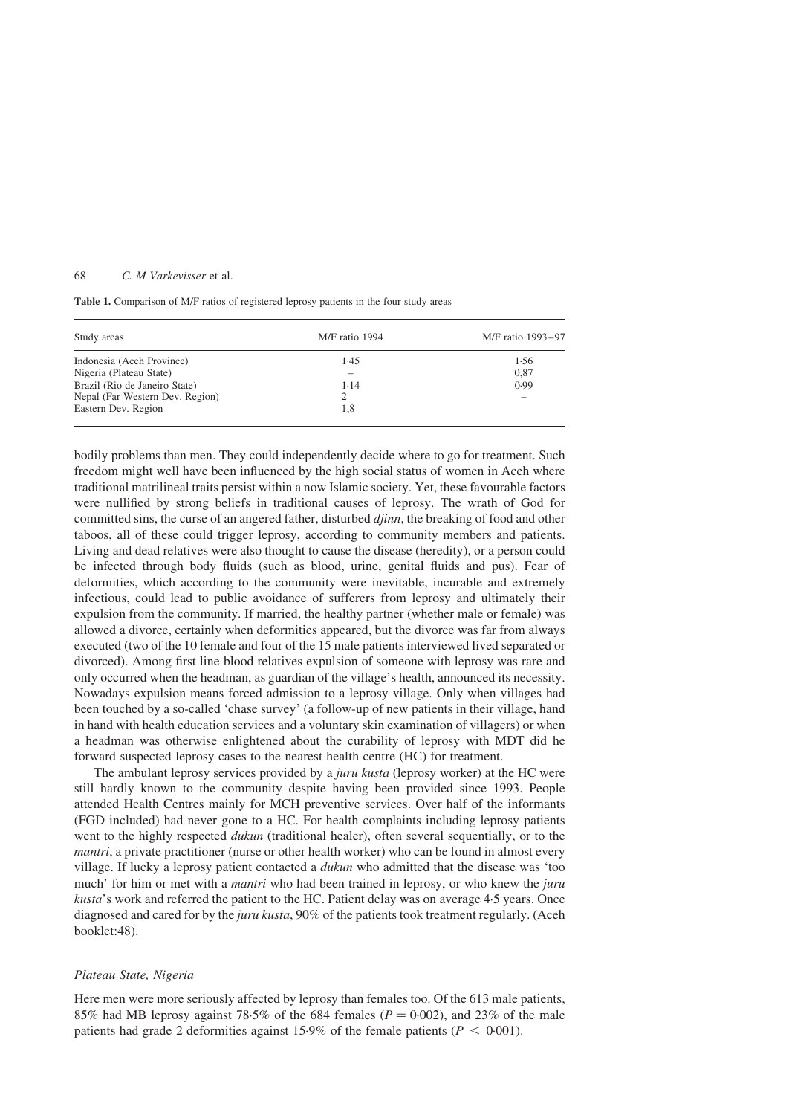<span id="page-3-0"></span>Table 1. Comparison of M/F ratios of registered leprosy patients in the four study areas

| Study areas                     | M/F ratio 1994 | M/F ratio 1993-97 |  |
|---------------------------------|----------------|-------------------|--|
| Indonesia (Aceh Province)       | 1.45           | 1.56              |  |
| Nigeria (Plateau State)         |                | 0.87              |  |
| Brazil (Rio de Janeiro State)   | 1.14           | 0.99              |  |
| Nepal (Far Western Dev. Region) |                |                   |  |
| Eastern Dev. Region             | 1,8            |                   |  |

bodily problems than men. They could independently decide where to go for treatment. Such freedom might well have been influenced by the high social status of women in Aceh where traditional matrilineal traits persist within a now Islamic society. Yet, these favourable factors were nullified by strong beliefs in traditional causes of leprosy. The wrath of God for committed sins, the curse of an angered father, disturbed djinn, the breaking of food and other taboos, all of these could trigger leprosy, according to community members and patients. Living and dead relatives were also thought to cause the disease (heredity), or a person could be infected through body fluids (such as blood, urine, genital fluids and pus). Fear of deformities, which according to the community were inevitable, incurable and extremely infectious, could lead to public avoidance of sufferers from leprosy and ultimately their expulsion from the community. If married, the healthy partner (whether male or female) was allowed a divorce, certainly when deformities appeared, but the divorce was far from always executed (two of the 10 female and four of the 15 male patients interviewed lived separated or divorced). Among first line blood relatives expulsion of someone with leprosy was rare and only occurred when the headman, as guardian of the village's health, announced its necessity. Nowadays expulsion means forced admission to a leprosy village. Only when villages had been touched by a so-called 'chase survey' (a follow-up of new patients in their village, hand in hand with health education services and a voluntary skin examination of villagers) or when a headman was otherwise enlightened about the curability of leprosy with MDT did he forward suspected leprosy cases to the nearest health centre (HC) for treatment.

The ambulant leprosy services provided by a *juru kusta* (leprosy worker) at the HC were still hardly known to the community despite having been provided since 1993. People attended Health Centres mainly for MCH preventive services. Over half of the informants (FGD included) had never gone to a HC. For health complaints including leprosy patients went to the highly respected *dukun* (traditional healer), often several sequentially, or to the mantri, a private practitioner (nurse or other health worker) who can be found in almost every village. If lucky a leprosy patient contacted a dukun who admitted that the disease was 'too much' for him or met with a *mantri* who had been trained in leprosy, or who knew the *juru* kusta's work and referred the patient to the HC. Patient delay was on average 4·5 years. Once diagnosed and cared for by the *juru kusta*, 90% of the patients took treatment regularly. (Aceh booklet:48).

#### Plateau State, Nigeria

Here men were more seriously affected by leprosy than females too. Of the 613 male patients, 85% had MB leprosy against 78.5% of the 684 females ( $P = 0.002$ ), and 23% of the male patients had grade 2 deformities against 15.9% of the female patients ( $P < 0.001$ ).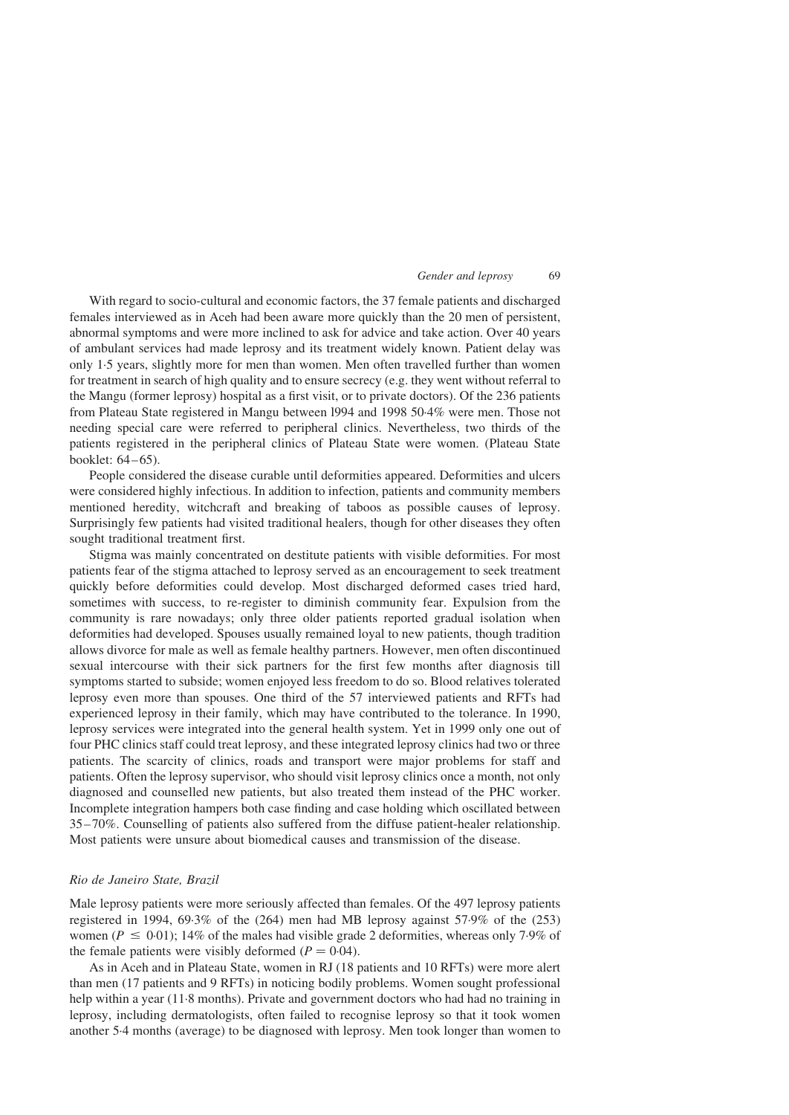With regard to socio-cultural and economic factors, the 37 female patients and discharged females interviewed as in Aceh had been aware more quickly than the 20 men of persistent, abnormal symptoms and were more inclined to ask for advice and take action. Over 40 years of ambulant services had made leprosy and its treatment widely known. Patient delay was only 1·5 years, slightly more for men than women. Men often travelled further than women for treatment in search of high quality and to ensure secrecy (e.g. they went without referral to the Mangu (former leprosy) hospital as a first visit, or to private doctors). Of the 236 patients from Plateau State registered in Mangu between l994 and 1998 50·4% were men. Those not needing special care were referred to peripheral clinics. Nevertheless, two thirds of the patients registered in the peripheral clinics of Plateau State were women. (Plateau State booklet: 64–65).

People considered the disease curable until deformities appeared. Deformities and ulcers were considered highly infectious. In addition to infection, patients and community members mentioned heredity, witchcraft and breaking of taboos as possible causes of leprosy. Surprisingly few patients had visited traditional healers, though for other diseases they often sought traditional treatment first.

Stigma was mainly concentrated on destitute patients with visible deformities. For most patients fear of the stigma attached to leprosy served as an encouragement to seek treatment quickly before deformities could develop. Most discharged deformed cases tried hard, sometimes with success, to re-register to diminish community fear. Expulsion from the community is rare nowadays; only three older patients reported gradual isolation when deformities had developed. Spouses usually remained loyal to new patients, though tradition allows divorce for male as well as female healthy partners. However, men often discontinued sexual intercourse with their sick partners for the first few months after diagnosis till symptoms started to subside; women enjoyed less freedom to do so. Blood relatives tolerated leprosy even more than spouses. One third of the 57 interviewed patients and RFTs had experienced leprosy in their family, which may have contributed to the tolerance. In 1990, leprosy services were integrated into the general health system. Yet in 1999 only one out of four PHC clinics staff could treat leprosy, and these integrated leprosy clinics had two or three patients. The scarcity of clinics, roads and transport were major problems for staff and patients. Often the leprosy supervisor, who should visit leprosy clinics once a month, not only diagnosed and counselled new patients, but also treated them instead of the PHC worker. Incomplete integration hampers both case finding and case holding which oscillated between 35–70%. Counselling of patients also suffered from the diffuse patient-healer relationship. Most patients were unsure about biomedical causes and transmission of the disease.

# Rio de Janeiro State, Brazil

Male leprosy patients were more seriously affected than females. Of the 497 leprosy patients registered in 1994, 69·3% of the (264) men had MB leprosy against 57·9% of the (253) women ( $P \le 0.01$ ); 14% of the males had visible grade 2 deformities, whereas only 7.9% of the female patients were visibly deformed ( $P = 0.04$ ).

As in Aceh and in Plateau State, women in RJ (18 patients and 10 RFTs) were more alert than men (17 patients and 9 RFTs) in noticing bodily problems. Women sought professional help within a year (11.8 months). Private and government doctors who had had no training in leprosy, including dermatologists, often failed to recognise leprosy so that it took women another 5·4 months (average) to be diagnosed with leprosy. Men took longer than women to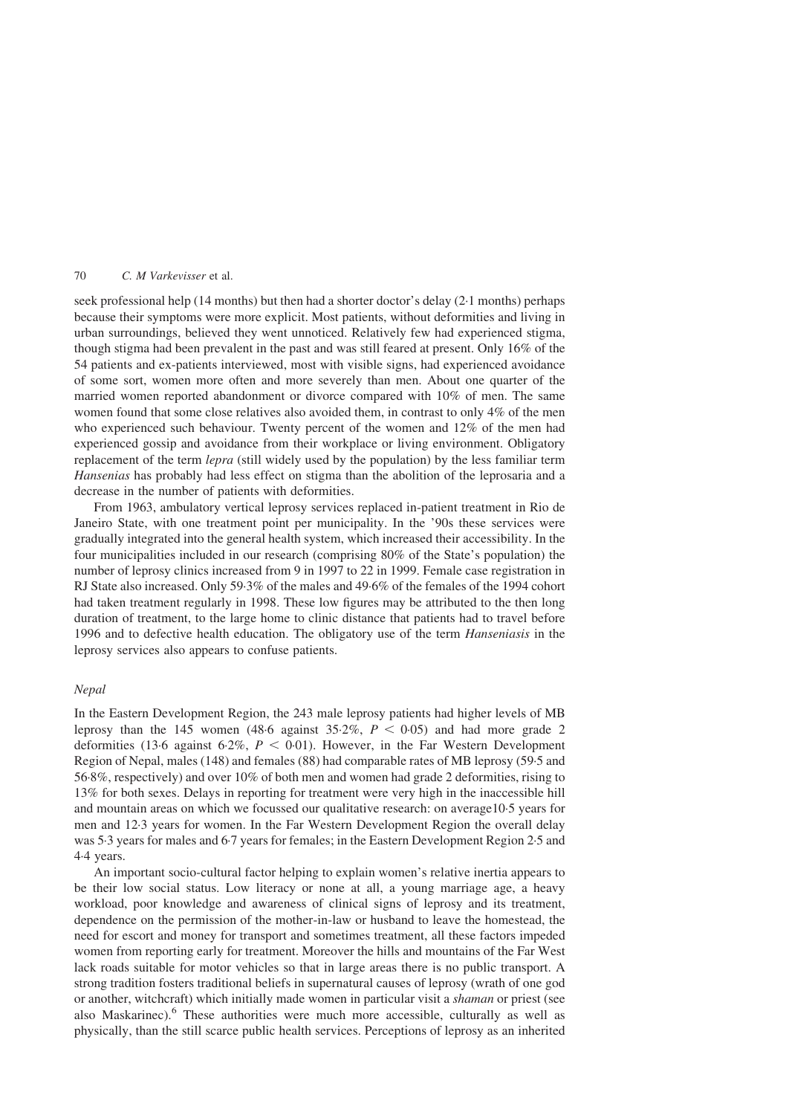seek professional help (14 months) but then had a shorter doctor's delay (2·1 months) perhaps because their symptoms were more explicit. Most patients, without deformities and living in urban surroundings, believed they went unnoticed. Relatively few had experienced stigma, though stigma had been prevalent in the past and was still feared at present. Only 16% of the 54 patients and ex-patients interviewed, most with visible signs, had experienced avoidance of some sort, women more often and more severely than men. About one quarter of the married women reported abandonment or divorce compared with 10% of men. The same women found that some close relatives also avoided them, in contrast to only 4% of the men who experienced such behaviour. Twenty percent of the women and 12% of the men had experienced gossip and avoidance from their workplace or living environment. Obligatory replacement of the term *lepra* (still widely used by the population) by the less familiar term Hansenias has probably had less effect on stigma than the abolition of the leprosaria and a decrease in the number of patients with deformities.

From 1963, ambulatory vertical leprosy services replaced in-patient treatment in Rio de Janeiro State, with one treatment point per municipality. In the '90s these services were gradually integrated into the general health system, which increased their accessibility. In the four municipalities included in our research (comprising 80% of the State's population) the number of leprosy clinics increased from 9 in 1997 to 22 in 1999. Female case registration in RJ State also increased. Only 59·3% of the males and 49·6% of the females of the 1994 cohort had taken treatment regularly in 1998. These low figures may be attributed to the then long duration of treatment, to the large home to clinic distance that patients had to travel before 1996 and to defective health education. The obligatory use of the term Hanseniasis in the leprosy services also appears to confuse patients.

#### Nepal

In the Eastern Development Region, the 243 male leprosy patients had higher levels of MB leprosy than the 145 women (48.6 against 35.2%,  $P < 0.05$ ) and had more grade 2 deformities (13.6 against 6.2%,  $P < 0.01$ ). However, in the Far Western Development Region of Nepal, males (148) and females (88) had comparable rates of MB leprosy (59·5 and 56·8%, respectively) and over 10% of both men and women had grade 2 deformities, rising to 13% for both sexes. Delays in reporting for treatment were very high in the inaccessible hill and mountain areas on which we focussed our qualitative research: on average10·5 years for men and 12·3 years for women. In the Far Western Development Region the overall delay was 5·3 years for males and 6·7 years for females; in the Eastern Development Region 2·5 and 4·4 years.

An important socio-cultural factor helping to explain women's relative inertia appears to be their low social status. Low literacy or none at all, a young marriage age, a heavy workload, poor knowledge and awareness of clinical signs of leprosy and its treatment, dependence on the permission of the mother-in-law or husband to leave the homestead, the need for escort and money for transport and sometimes treatment, all these factors impeded women from reporting early for treatment. Moreover the hills and mountains of the Far West lack roads suitable for motor vehicles so that in large areas there is no public transport. A strong tradition fosters traditional beliefs in supernatural causes of leprosy (wrath of one god or another, witchcraft) which initially made women in particular visit a *shaman* or priest (see also Maskarinec).<sup>[6](#page-10-0)</sup> These authorities were much more accessible, culturally as well as physically, than the still scarce public health services. Perceptions of leprosy as an inherited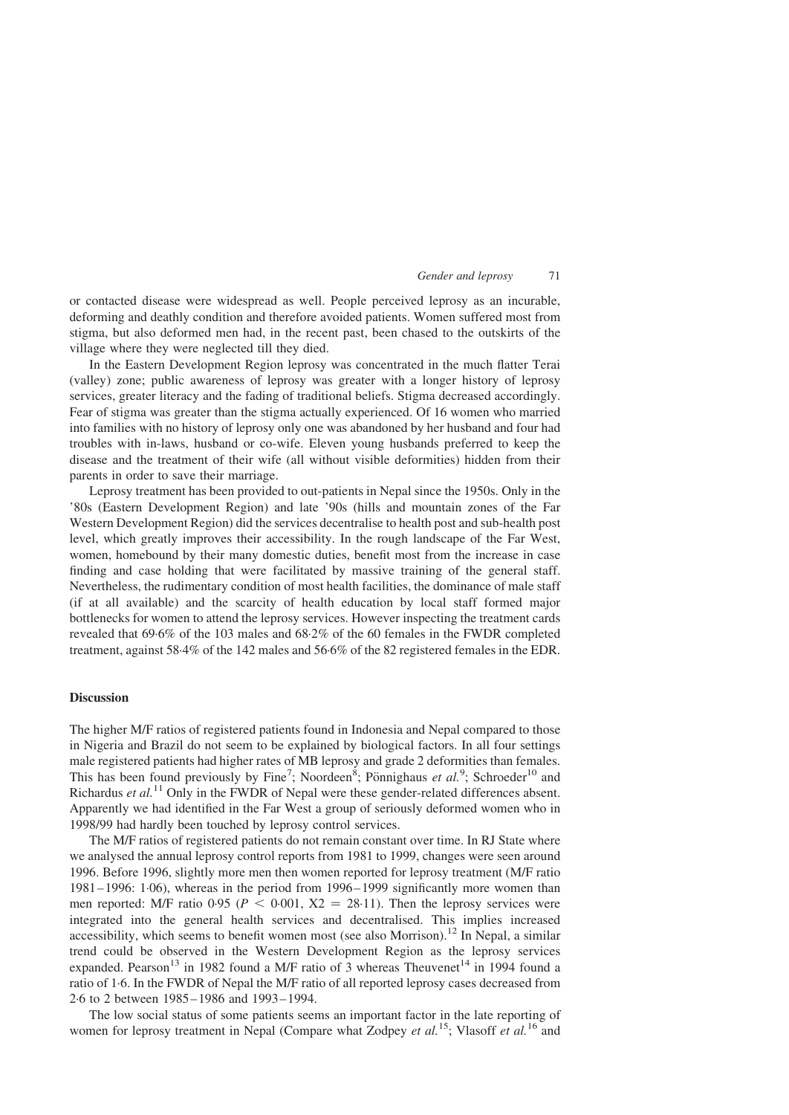or contacted disease were widespread as well. People perceived leprosy as an incurable, deforming and deathly condition and therefore avoided patients. Women suffered most from stigma, but also deformed men had, in the recent past, been chased to the outskirts of the village where they were neglected till they died.

In the Eastern Development Region leprosy was concentrated in the much flatter Terai (valley) zone; public awareness of leprosy was greater with a longer history of leprosy services, greater literacy and the fading of traditional beliefs. Stigma decreased accordingly. Fear of stigma was greater than the stigma actually experienced. Of 16 women who married into families with no history of leprosy only one was abandoned by her husband and four had troubles with in-laws, husband or co-wife. Eleven young husbands preferred to keep the disease and the treatment of their wife (all without visible deformities) hidden from their parents in order to save their marriage.

Leprosy treatment has been provided to out-patients in Nepal since the 1950s. Only in the '80s (Eastern Development Region) and late '90s (hills and mountain zones of the Far Western Development Region) did the services decentralise to health post and sub-health post level, which greatly improves their accessibility. In the rough landscape of the Far West, women, homebound by their many domestic duties, benefit most from the increase in case finding and case holding that were facilitated by massive training of the general staff. Nevertheless, the rudimentary condition of most health facilities, the dominance of male staff (if at all available) and the scarcity of health education by local staff formed major bottlenecks for women to attend the leprosy services. However inspecting the treatment cards revealed that 69·6% of the 103 males and 68·2% of the 60 females in the FWDR completed treatment, against 58·4% of the 142 males and 56·6% of the 82 registered females in the EDR.

# **Discussion**

The higher M/F ratios of registered patients found in Indonesia and Nepal compared to those in Nigeria and Brazil do not seem to be explained by biological factors. In all four settings male registered patients had higher rates of MB leprosy and grade 2 deformities than females. This has been found previously by Fine<sup>[7](#page-10-0)</sup>; Noordeen<sup>[8](#page-10-0)</sup>; Pönnighaus et al.<sup>[9](#page-10-0)</sup>; Schroeder<sup>[10](#page-10-0)</sup> and Richardus et  $al$ <sup>[11](#page-10-0)</sup> Only in the FWDR of Nepal were these gender-related differences absent. Apparently we had identified in the Far West a group of seriously deformed women who in 1998/99 had hardly been touched by leprosy control services.

The M/F ratios of registered patients do not remain constant over time. In RJ State where we analysed the annual leprosy control reports from 1981 to 1999, changes were seen around 1996. Before 1996, slightly more men then women reported for leprosy treatment (M/F ratio 1981–1996: 1·06), whereas in the period from 1996–1999 significantly more women than men reported: M/F ratio 0.95 ( $P < 0.001$ ,  $X2 = 28.11$ ). Then the leprosy services were integrated into the general health services and decentralised. This implies increased accessibility, which seems to benefit women most (see also Morrison).<sup>[12](#page-10-0)</sup> In Nepal, a similar trend could be observed in the Western Development Region as the leprosy services expanded. Pearson<sup>[13](#page-10-0)</sup> in 1982 found a M/F ratio of 3 whereas Theuvenet<sup>[14](#page-10-0)</sup> in 1994 found a ratio of 1·6. In the FWDR of Nepal the M/F ratio of all reported leprosy cases decreased from 2·6 to 2 between 1985–1986 and 1993–1994.

The low social status of some patients seems an important factor in the late reporting of women for leprosy treatment in Nepal (Compare what Zodpey et al.<sup>[15](#page-10-0)</sup>; Vlasoff et al.<sup>[16](#page-10-0)</sup> and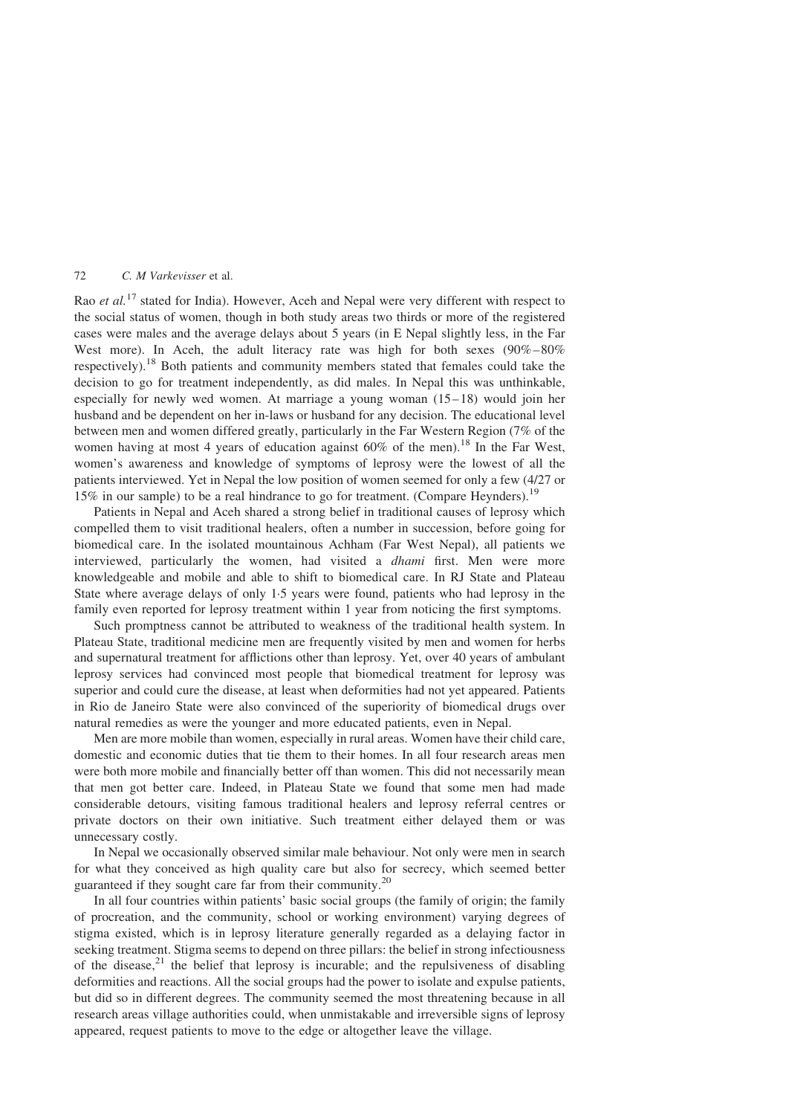Rao et al.<sup>[17](#page-10-0)</sup> stated for India). However, Aceh and Nepal were very different with respect to the social status of women, though in both study areas two thirds or more of the registered cases were males and the average delays about 5 years (in E Nepal slightly less, in the Far West more). In Aceh, the adult literacy rate was high for both sexes (90%–80%) respectively).[18](#page-10-0) Both patients and community members stated that females could take the decision to go for treatment independently, as did males. In Nepal this was unthinkable, especially for newly wed women. At marriage a young woman (15–18) would join her husband and be dependent on her in-laws or husband for any decision. The educational level between men and women differed greatly, particularly in the Far Western Region (7% of the women having at most 4 years of education against  $60\%$  of the men).<sup>[18](#page-10-0)</sup> In the Far West, women's awareness and knowledge of symptoms of leprosy were the lowest of all the patients interviewed. Yet in Nepal the low position of women seemed for only a few (4/27 or 15% in our sample) to be a real hindrance to go for treatment. (Compare Heynders).[19](#page-10-0)

Patients in Nepal and Aceh shared a strong belief in traditional causes of leprosy which compelled them to visit traditional healers, often a number in succession, before going for biomedical care. In the isolated mountainous Achham (Far West Nepal), all patients we interviewed, particularly the women, had visited a dhami first. Men were more knowledgeable and mobile and able to shift to biomedical care. In RJ State and Plateau State where average delays of only 1·5 years were found, patients who had leprosy in the family even reported for leprosy treatment within 1 year from noticing the first symptoms.

Such promptness cannot be attributed to weakness of the traditional health system. In Plateau State, traditional medicine men are frequently visited by men and women for herbs and supernatural treatment for afflictions other than leprosy. Yet, over 40 years of ambulant leprosy services had convinced most people that biomedical treatment for leprosy was superior and could cure the disease, at least when deformities had not yet appeared. Patients in Rio de Janeiro State were also convinced of the superiority of biomedical drugs over natural remedies as were the younger and more educated patients, even in Nepal.

Men are more mobile than women, especially in rural areas. Women have their child care, domestic and economic duties that tie them to their homes. In all four research areas men were both more mobile and financially better off than women. This did not necessarily mean that men got better care. Indeed, in Plateau State we found that some men had made considerable detours, visiting famous traditional healers and leprosy referral centres or private doctors on their own initiative. Such treatment either delayed them or was unnecessary costly.

In Nepal we occasionally observed similar male behaviour. Not only were men in search for what they conceived as high quality care but also for secrecy, which seemed better guaranteed if they sought care far from their community.[20](#page-10-0)

In all four countries within patients' basic social groups (the family of origin; the family of procreation, and the community, school or working environment) varying degrees of stigma existed, which is in leprosy literature generally regarded as a delaying factor in seeking treatment. Stigma seems to depend on three pillars: the belief in strong infectiousness of the disease, $21$  the belief that leprosy is incurable; and the repulsiveness of disabling deformities and reactions. All the social groups had the power to isolate and expulse patients, but did so in different degrees. The community seemed the most threatening because in all research areas village authorities could, when unmistakable and irreversible signs of leprosy appeared, request patients to move to the edge or altogether leave the village.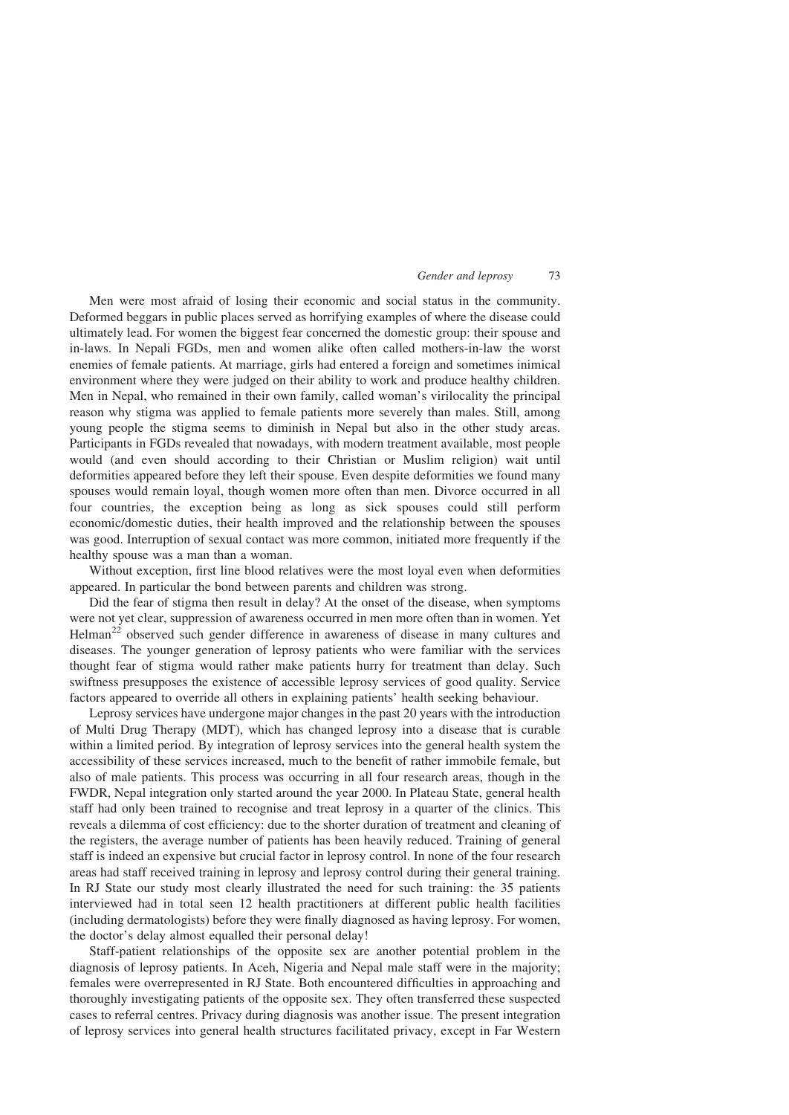Men were most afraid of losing their economic and social status in the community. Deformed beggars in public places served as horrifying examples of where the disease could ultimately lead. For women the biggest fear concerned the domestic group: their spouse and in-laws. In Nepali FGDs, men and women alike often called mothers-in-law the worst enemies of female patients. At marriage, girls had entered a foreign and sometimes inimical environment where they were judged on their ability to work and produce healthy children. Men in Nepal, who remained in their own family, called woman's virilocality the principal reason why stigma was applied to female patients more severely than males. Still, among young people the stigma seems to diminish in Nepal but also in the other study areas. Participants in FGDs revealed that nowadays, with modern treatment available, most people would (and even should according to their Christian or Muslim religion) wait until deformities appeared before they left their spouse. Even despite deformities we found many spouses would remain loyal, though women more often than men. Divorce occurred in all four countries, the exception being as long as sick spouses could still perform economic/domestic duties, their health improved and the relationship between the spouses was good. Interruption of sexual contact was more common, initiated more frequently if the healthy spouse was a man than a woman.

Without exception, first line blood relatives were the most loyal even when deformities appeared. In particular the bond between parents and children was strong.

Did the fear of stigma then result in delay? At the onset of the disease, when symptoms were not yet clear, suppression of awareness occurred in men more often than in women. Yet Helman<sup>[22](#page-11-0)</sup> observed such gender difference in awareness of disease in many cultures and diseases. The younger generation of leprosy patients who were familiar with the services thought fear of stigma would rather make patients hurry for treatment than delay. Such swiftness presupposes the existence of accessible leprosy services of good quality. Service factors appeared to override all others in explaining patients' health seeking behaviour.

Leprosy services have undergone major changes in the past 20 years with the introduction of Multi Drug Therapy (MDT), which has changed leprosy into a disease that is curable within a limited period. By integration of leprosy services into the general health system the accessibility of these services increased, much to the benefit of rather immobile female, but also of male patients. This process was occurring in all four research areas, though in the FWDR, Nepal integration only started around the year 2000. In Plateau State, general health staff had only been trained to recognise and treat leprosy in a quarter of the clinics. This reveals a dilemma of cost efficiency: due to the shorter duration of treatment and cleaning of the registers, the average number of patients has been heavily reduced. Training of general staff is indeed an expensive but crucial factor in leprosy control. In none of the four research areas had staff received training in leprosy and leprosy control during their general training. In RJ State our study most clearly illustrated the need for such training: the 35 patients interviewed had in total seen 12 health practitioners at different public health facilities (including dermatologists) before they were finally diagnosed as having leprosy. For women, the doctor's delay almost equalled their personal delay!

Staff-patient relationships of the opposite sex are another potential problem in the diagnosis of leprosy patients. In Aceh, Nigeria and Nepal male staff were in the majority; females were overrepresented in RJ State. Both encountered difficulties in approaching and thoroughly investigating patients of the opposite sex. They often transferred these suspected cases to referral centres. Privacy during diagnosis was another issue. The present integration of leprosy services into general health structures facilitated privacy, except in Far Western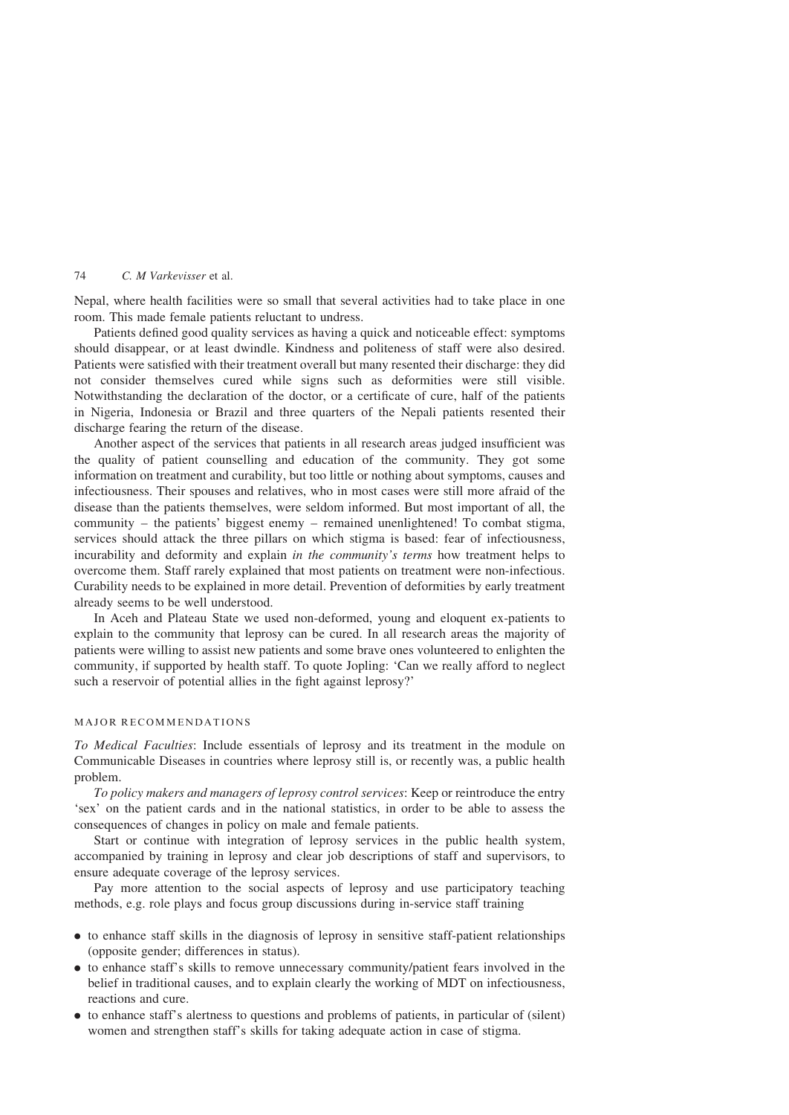Nepal, where health facilities were so small that several activities had to take place in one room. This made female patients reluctant to undress.

Patients defined good quality services as having a quick and noticeable effect: symptoms should disappear, or at least dwindle. Kindness and politeness of staff were also desired. Patients were satisfied with their treatment overall but many resented their discharge: they did not consider themselves cured while signs such as deformities were still visible. Notwithstanding the declaration of the doctor, or a certificate of cure, half of the patients in Nigeria, Indonesia or Brazil and three quarters of the Nepali patients resented their discharge fearing the return of the disease.

Another aspect of the services that patients in all research areas judged insufficient was the quality of patient counselling and education of the community. They got some information on treatment and curability, but too little or nothing about symptoms, causes and infectiousness. Their spouses and relatives, who in most cases were still more afraid of the disease than the patients themselves, were seldom informed. But most important of all, the community – the patients' biggest enemy – remained unenlightened! To combat stigma, services should attack the three pillars on which stigma is based: fear of infectiousness, incurability and deformity and explain in the community's terms how treatment helps to overcome them. Staff rarely explained that most patients on treatment were non-infectious. Curability needs to be explained in more detail. Prevention of deformities by early treatment already seems to be well understood.

In Aceh and Plateau State we used non-deformed, young and eloquent ex-patients to explain to the community that leprosy can be cured. In all research areas the majority of patients were willing to assist new patients and some brave ones volunteered to enlighten the community, if supported by health staff. To quote Jopling: 'Can we really afford to neglect such a reservoir of potential allies in the fight against leprosy?'

# MAJOR RECOMMENDATIONS

To Medical Faculties: Include essentials of leprosy and its treatment in the module on Communicable Diseases in countries where leprosy still is, or recently was, a public health problem.

To policy makers and managers of leprosy control services: Keep or reintroduce the entry 'sex' on the patient cards and in the national statistics, in order to be able to assess the consequences of changes in policy on male and female patients.

Start or continue with integration of leprosy services in the public health system, accompanied by training in leprosy and clear job descriptions of staff and supervisors, to ensure adequate coverage of the leprosy services.

Pay more attention to the social aspects of leprosy and use participatory teaching methods, e.g. role plays and focus group discussions during in-service staff training

- . to enhance staff skills in the diagnosis of leprosy in sensitive staff-patient relationships (opposite gender; differences in status).
- . to enhance staff's skills to remove unnecessary community/patient fears involved in the belief in traditional causes, and to explain clearly the working of MDT on infectiousness, reactions and cure.
- . to enhance staff's alertness to questions and problems of patients, in particular of (silent) women and strengthen staff's skills for taking adequate action in case of stigma.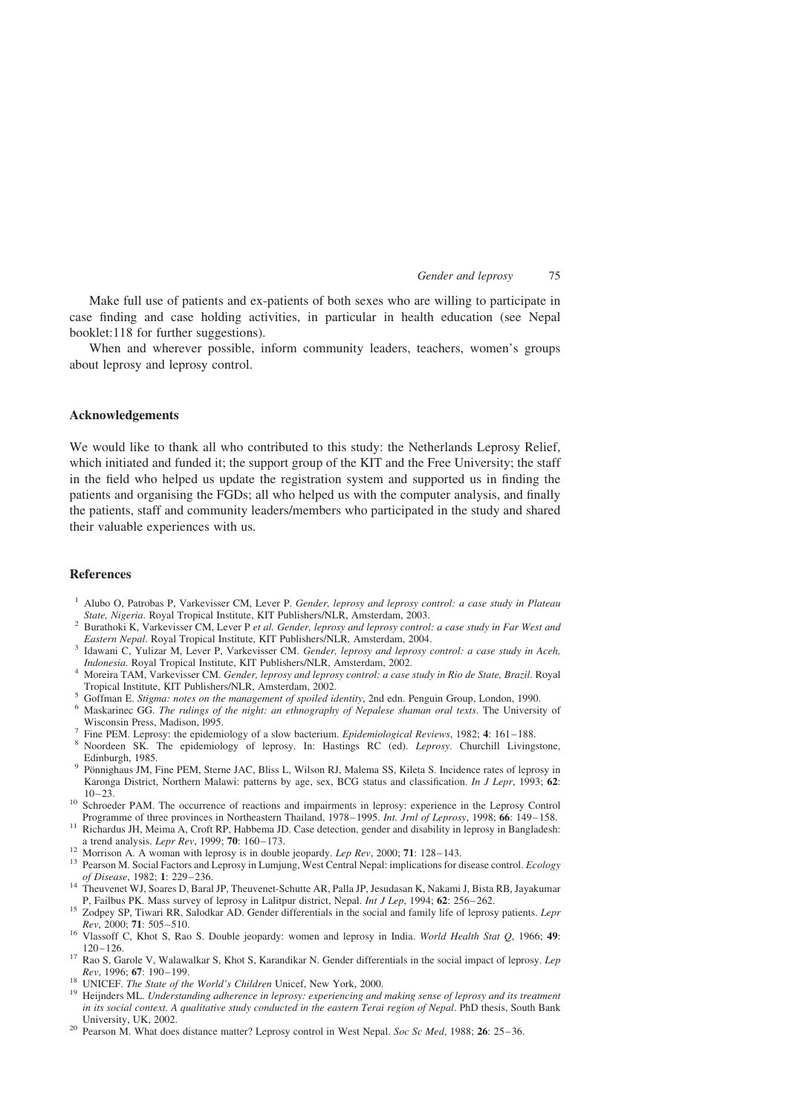<span id="page-10-0"></span>Make full use of patients and ex-patients of both sexes who are willing to participate in case finding and case holding activities, in particular in health education (see Nepal booklet:118 for further suggestions).

When and wherever possible, inform community leaders, teachers, women's groups about leprosy and leprosy control.

# Acknowledgements

We would like to thank all who contributed to this study: the Netherlands Leprosy Relief, which initiated and funded it; the support group of the KIT and the Free University; the staff in the field who helped us update the registration system and supported us in finding the patients and organising the FGDs; all who helped us with the computer analysis, and finally the patients, staff and community leaders/members who participated in the study and shared their valuable experiences with us.

# References

- <sup>1</sup> Alubo O, Patrobas P, Varkevisser CM, Lever P. Gender, leprosy and leprosy control: a case study in Plateau
- State, Nigeria. Royal Tropical Institute, KIT Publishers/NLR, Amsterdam, 2003.<br>
<sup>2</sup> Burathoki K, Varkevisser CM, Lever P et al. Gender, leprosy and leprosy control: a case study in Far West and<br> *Eastern Nepal*. Royal Trop
- Eastern Nepal. Royal Tropical Institute, KIT Publishers/NLR, Amsterdam, 2002.<br>Indonesia. Royal Tropical Institute, KIT Publishers/NLR, Amsterdam, 2002.
- <sup>4</sup> Moreira TAM, Varkevisser CM. Gender, leprosy and leprosy control: a case study in Rio de State, Brazil. Royal<br>Tropical Institute, KIT Publishers/NLR, Amsterdam, 2002.
- 
- Forman E. Stigma: not a base the management of spoiled identity, 2nd edn. Penguin Group, London, 1990.<br>
Maskarinec GG. The rulings of the night: an ethnography of Nepalese shaman oral texts. The University of<br>
Wisconsin Pr
- 
- <sup>7</sup> Fine PEM. Leprosy: the epidemiology of a slow bacterium. *Epidemiological Reviews*, 1982; **4**: 161–188.<br><sup>8</sup> Noordeen SK. The epidemiology of leprosy. In: Hastings RC (ed). *Leprosy*. Churchill Livingstone, Edinburgh, 1985. **9 Pönnighaus JM, Fine PEM, Sterne JAC, Bliss L, Wilson RJ, Malema SS, Kileta S. Incidence rates of leprosy in**
- Karonga District, Northern Malawi: patterns by age, sex, BCG status and classification. In J Lepr, 1993; 62:
- 10–23.<br>
<sup>10</sup> Schroeder PAM. The occurrence of reactions and impairments in leprosy: experience in the Leprosy Control<br>
Programme of three provinces in Northeastern Thailand, 1978–1995. *Int. Jrnl of Leprosy*, 1998; **66**:
- Richardus JH, Meima A, Croft RP, Habbema JD. Case detection, gender and disability in leprosy in Bangladesh: a trend analysis. Lepr Rev, 1999; 70: 160–173.
- 
- <sup>12</sup> Morrison A. A woman with leprosy is in double jeopardy. *Lep Rev*, 2000; 71: 128–143.<br><sup>13</sup> Pearson M. Social Factors and Leprosy in Lumjung, West Central Nepal: implications for disease control. *Ecology* of Disease,
- of Disease, 1982; 1: 229–236.<br>
14 Theuvenet WJ, Soares D, Baral JP, Theuvenet-Schutte AR, Palla JP, Jesudasan K, Nakami J, Bista RB, Jayakumar<br>
14 Theuvenet WJ, Soares D, Baral JP, Theuvenet-Schutte AR, Palla JP, Jesudasan
- <sup>15</sup> Zodpey SP, Tiwari RR, Salodkar AD. Gender differentials in the social and family life of leprosy patients. Lepr  $Rev$ , 2000; 71: 505–510.
- to Wlassoff C, Khot S, Rao S. Double jeopardy: women and leprosy in India. World Health Stat Q, 1966; 49:<br>120–126.
- <sup>17</sup> Rao S, Garole V, Walawalkar S, Khot S, Karandikar N. Gender differentials in the social impact of leprosy. Lep  $Rev$ , 1996; **67**: 190–199.
- 
- <sup>18</sup> UNICEF. The State of the World's Children Unicef, New York, 2000.<br><sup>19</sup> Heijnders ML. Understanding adherence in leprosy: experiencing and making sense of leprosy and its treatment in its social context. A qualitative study conducted in the eastern Terai region of Nepal. PhD thesis, South Bank<br>University, UK, 2002.
- <sup>20</sup> Pearson M. What does distance matter? Leprosy control in West Nepal. Soc Sc Med, 1988; **26**: 25–36.